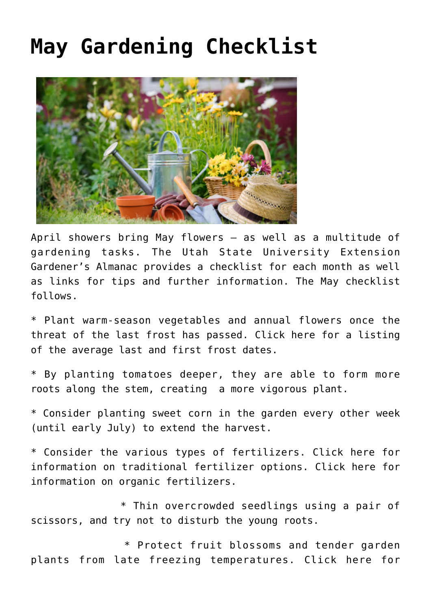## **[May Gardening Checklist](https://livewellutah.org/2021/04/30/may-gardening-checklist/)**



April showers bring May flowers – as well as a multitude of gardening tasks. The Utah State University Extension Gardener's Almanac provides a checklist for each month as well as links for tips and further information. The May checklist follows.

\* Plant warm-season vegetables and annual flowers once the threat of the last frost has passed. [Click here](http://extension.usu.edu/news_sections/gardening/fickle-climate-keeps-gardeners-guessing) for a listing of the average last and first frost dates.

\* By [planting tomatoes](http://digitalcommons.usu.edu/cgi/viewcontent.cgi?article=1237&context=extension_curall) deeper, they are able to form more roots along the stem, creating a more vigorous plant.

\* Consider planting [sweet corn in the garden](http://digitalcommons.usu.edu/cgi/viewcontent.cgi?article=1244&context=extension_curall) every other week (until early July) to extend the harvest.

\* Consider the various types of fertilizers. [Click here](http://digitalcommons.usu.edu/cgi/viewcontent.cgi?article=1148&context=extension_curall) for information on traditional fertilizer options. [Click here](http://digitalcommons.usu.edu/cgi/viewcontent.cgi?article=1147&context=extension_curall) for information on organic fertilizers.

 \* Thin overcrowded seedlings using a pair of scissors, and try not to disturb the young roots.

 \* Protect fruit blossoms and tender garden plants from late freezing temperatures. [Click here](http://digitalcommons.usu.edu/cgi/viewcontent.cgi?article=1643&context=extension_curall) for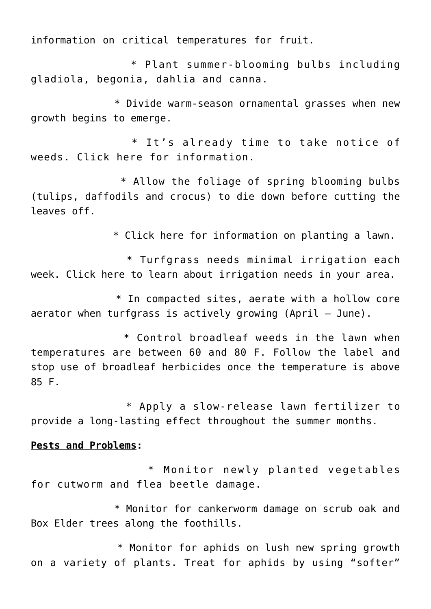information on critical temperatures for fruit.

 \* Plant summer-blooming bulbs including gladiola, begonia, dahlia and canna.

 \* Divide warm-season ornamental grasses when new growth begins to emerge.

 \* It's already time to take notice of weeds. [Click here](http://digitalcommons.usu.edu/cgi/viewcontent.cgi?article=1829&context=extension_curall) for information.

 \* Allow the foliage of spring blooming bulbs (tulips, daffodils and crocus) to die down before cutting the leaves off.

\* [Click here](http://digitalcommons.usu.edu/cgi/viewcontent.cgi?article=1769&context=extension_histall) for information on planting a lawn.

 \* Turfgrass needs minimal irrigation each week. [Click here](http://slowtheflow.org/index.php/lawn-watering-guide) to learn about irrigation needs in your area.

 \* In compacted sites, aerate with a hollow core aerator when turfgrass is actively growing (April – June).

 \* Control broadleaf [weeds in the lawn](http://digitalcommons.usu.edu/cgi/viewcontent.cgi?article=1829&context=extension_curall) when temperatures are between 60 and 80 F. Follow the label and stop use of broadleaf herbicides once the temperature is above 85 F.

 \* Apply a slow-release [lawn fertilizer](http://digitalcommons.usu.edu/cgi/viewcontent.cgi?article=2626&context=extension_curall) to provide a long-lasting effect throughout the summer months.

## **Pests and Problems:**

 \* Monitor newly planted vegetables for [cutworm](http://digitalcommons.usu.edu/cgi/viewcontent.cgi?article=1845&context=extension_curall) and flea beetle damage.

 \* Monitor for [cankerworm](http://digitalcommons.usu.edu/cgi/viewcontent.cgi?article=1867&context=extension_curall) damage on scrub oak and Box Elder trees along the foothills.

 \* Monitor for aphids on lush new spring growth on a variety of plants. Treat for aphids by using "softer"